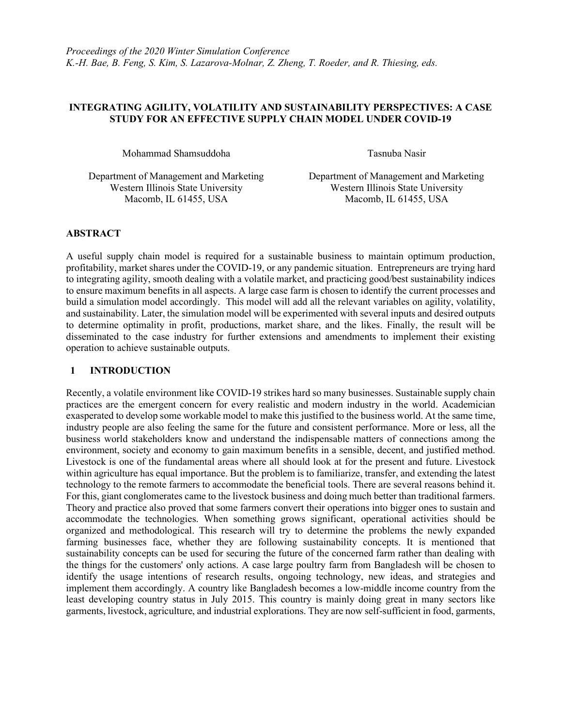## INTEGRATING AGILITY, VOLATILITY AND SUSTAINABILITY PERSPECTIVES: A CASE STUDY FOR AN EFFECTIVE SUPPLY CHAIN MODEL UNDER COVID-19

Mohammad Shamsuddoha Tasnuba Nasir

Macomb, IL 61455, USA Macomb, IL 61455, USA

Department of Management and Marketing Department of Management and Marketing Western Illinois State University Western Illinois State University

#### ABSTRACT

A useful supply chain model is required for a sustainable business to maintain optimum production, profitability, market shares under the COVID-19, or any pandemic situation. Entrepreneurs are trying hard to integrating agility, smooth dealing with a volatile market, and practicing good/best sustainability indices to ensure maximum benefits in all aspects. A large case farm is chosen to identify the current processes and build a simulation model accordingly. This model will add all the relevant variables on agility, volatility, and sustainability. Later, the simulation model will be experimented with several inputs and desired outputs to determine optimality in profit, productions, market share, and the likes. Finally, the result will be disseminated to the case industry for further extensions and amendments to implement their existing operation to achieve sustainable outputs.

## 1 INTRODUCTION

Recently, a volatile environment like COVID-19 strikes hard so many businesses. Sustainable supply chain practices are the emergent concern for every realistic and modern industry in the world. Academician exasperated to develop some workable model to make this justified to the business world. At the same time, industry people are also feeling the same for the future and consistent performance. More or less, all the business world stakeholders know and understand the indispensable matters of connections among the environment, society and economy to gain maximum benefits in a sensible, decent, and justified method. Livestock is one of the fundamental areas where all should look at for the present and future. Livestock within agriculture has equal importance. But the problem is to familiarize, transfer, and extending the latest technology to the remote farmers to accommodate the beneficial tools. There are several reasons behind it. For this, giant conglomerates came to the livestock business and doing much better than traditional farmers. Theory and practice also proved that some farmers convert their operations into bigger ones to sustain and accommodate the technologies. When something grows significant, operational activities should be organized and methodological. This research will try to determine the problems the newly expanded farming businesses face, whether they are following sustainability concepts. It is mentioned that sustainability concepts can be used for securing the future of the concerned farm rather than dealing with the things for the customers' only actions. A case large poultry farm from Bangladesh will be chosen to identify the usage intentions of research results, ongoing technology, new ideas, and strategies and implement them accordingly. A country like Bangladesh becomes a low-middle income country from the least developing country status in July 2015. This country is mainly doing great in many sectors like garments, livestock, agriculture, and industrial explorations. They are now self-sufficient in food, garments,